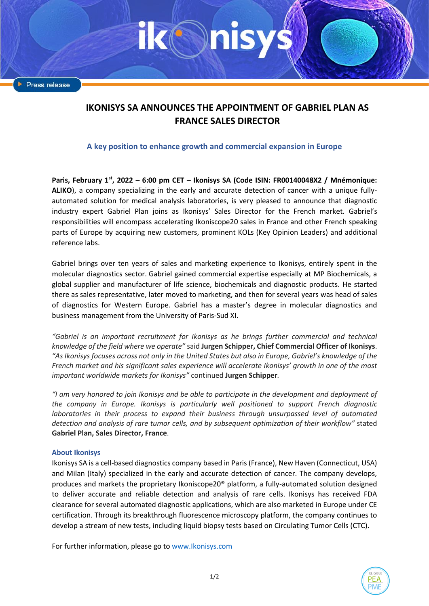Press release

# **IKONISYS SA ANNOUNCES THE APPOINTMENT OF GABRIEL PLAN AS FRANCE SALES DIRECTOR**

## **A key position to enhance growth and commercial expansion in Europe**

**Paris, February 1 st , 2022 – 6:00 pm CET – Ikonisys SA (Code ISIN: FR00140048X2 / Mnémonique: ALIKO**), a company specializing in the early and accurate detection of cancer with a unique fullyautomated solution for medical analysis laboratories, is very pleased to announce that diagnostic industry expert Gabriel Plan joins as Ikonisys' Sales Director for the French market. Gabriel's responsibilities will encompass accelerating Ikoniscope20 sales in France and other French speaking parts of Europe by acquiring new customers, prominent KOLs (Key Opinion Leaders) and additional reference labs.

Gabriel brings over ten years of sales and marketing experience to Ikonisys, entirely spent in the molecular diagnostics sector. Gabriel gained commercial expertise especially at MP Biochemicals, a global supplier and manufacturer of life science, biochemicals and diagnostic products. He started there as sales representative, later moved to marketing, and then for several years was head of sales of diagnostics for Western Europe. Gabriel has a master's degree in molecular diagnostics and business management from the University of Paris-Sud XI.

*"Gabriel is an important recruitment for Ikonisys as he brings further commercial and technical knowledge of the field where we operate"* said **Jurgen Schipper, Chief Commercial Officer of Ikonisys**. *"As Ikonisys focuses across not only in the United States but also in Europe, Gabriel's knowledge of the French market and his significant sales experience will accelerate Ikonisys' growth in one of the most important worldwide markets for Ikonisys"* continued **Jurgen Schipper***.*

*"I am very honored to join Ikonisys and be able to participate in the development and deployment of the company in Europe. Ikonisys is particularly well positioned to support French diagnostic laboratories in their process to expand their business through unsurpassed level of automated detection and analysis of rare tumor cells, and by subsequent optimization of their workflow"* stated **Gabriel Plan, Sales Director, France**.

## **About Ikonisys**

Ikonisys SA is a cell-based diagnostics company based in Paris (France), New Haven (Connecticut, USA) and Milan (Italy) specialized in the early and accurate detection of cancer. The company develops, produces and markets the proprietary Ikoniscope20® platform, a fully-automated solution designed to deliver accurate and reliable detection and analysis of rare cells. Ikonisys has received FDA clearance for several automated diagnostic applications, which are also marketed in Europe under CE certification. Through its breakthrough fluorescence microscopy platform, the company continues to develop a stream of new tests, including liquid biopsy tests based on Circulating Tumor Cells (CTC).

For further information, please go to [www.Ikonisys.com](http://www.ikonisys.com/)